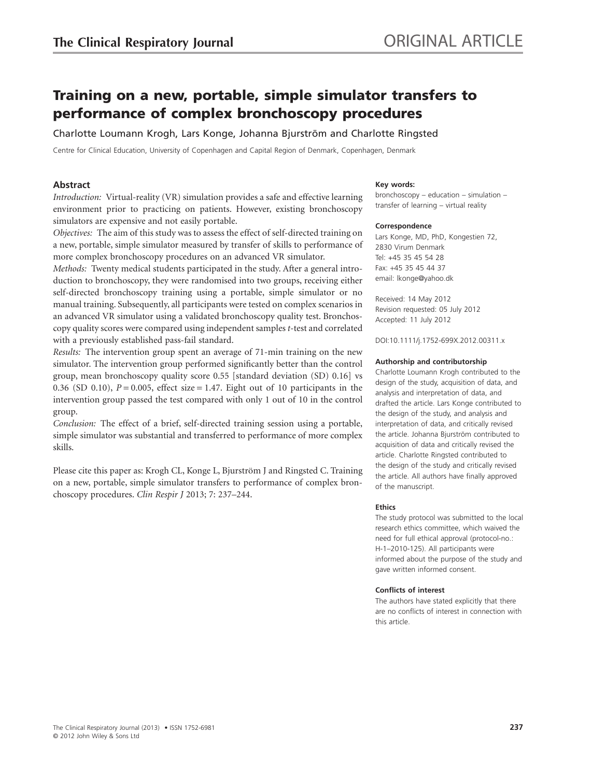# **Training on a new, portable, simple simulator transfers to performance of complex bronchoscopy procedures**

Charlotte Loumann Krogh, Lars Konge, Johanna Bjurström and Charlotte Ringsted

Centre for Clinical Education, University of Copenhagen and Capital Region of Denmark, Copenhagen, Denmark

#### **Abstract**

*Introduction:* Virtual-reality (VR) simulation provides a safe and effective learning environment prior to practicing on patients. However, existing bronchoscopy simulators are expensive and not easily portable.

*Objectives:* The aim of this study was to assess the effect of self-directed training on a new, portable, simple simulator measured by transfer of skills to performance of more complex bronchoscopy procedures on an advanced VR simulator.

*Methods:* Twenty medical students participated in the study. After a general introduction to bronchoscopy, they were randomised into two groups, receiving either self-directed bronchoscopy training using a portable, simple simulator or no manual training. Subsequently, all participants were tested on complex scenarios in an advanced VR simulator using a validated bronchoscopy quality test. Bronchoscopy quality scores were compared using independent samples *t*-test and correlated with a previously established pass-fail standard.

*Results:* The intervention group spent an average of 71-min training on the new simulator. The intervention group performed significantly better than the control group, mean bronchoscopy quality score 0.55 [standard deviation (SD) 0.16] vs 0.36 (SD 0.10),  $P = 0.005$ , effect size = 1.47. Eight out of 10 participants in the intervention group passed the test compared with only 1 out of 10 in the control group.

*Conclusion:* The effect of a brief, self-directed training session using a portable, simple simulator was substantial and transferred to performance of more complex skills.

Please cite this paper as: Krogh CL, Konge L, Bjurström J and Ringsted C. Training on a new, portable, simple simulator transfers to performance of complex bronchoscopy procedures. *Clin Respir J* 2013; 7: 237–244.

#### **Key words:**

bronchoscopy – education – simulation – transfer of learning – virtual reality

#### **Correspondence**

Lars Konge, MD, PhD, Kongestien 72, 2830 Virum Denmark Tel: +45 35 45 54 28 Fax: +45 35 45 44 37 email: lkonge@yahoo.dk

Received: 14 May 2012 Revision requested: 05 July 2012 Accepted: 11 July 2012

DOI:10.1111/j.1752-699X.2012.00311.x

#### **Authorship and contributorship**

Charlotte Loumann Krogh contributed to the design of the study, acquisition of data, and analysis and interpretation of data, and drafted the article. Lars Konge contributed to the design of the study, and analysis and interpretation of data, and critically revised the article. Johanna Bjurström contributed to acquisition of data and critically revised the article. Charlotte Ringsted contributed to the design of the study and critically revised the article. All authors have finally approved of the manuscript.

#### **Ethics**

The study protocol was submitted to the local research ethics committee, which waived the need for full ethical approval (protocol-no.: H-1–2010-125). All participants were informed about the purpose of the study and gave written informed consent.

#### **Conflicts of interest**

The authors have stated explicitly that there are no conflicts of interest in connection with this article.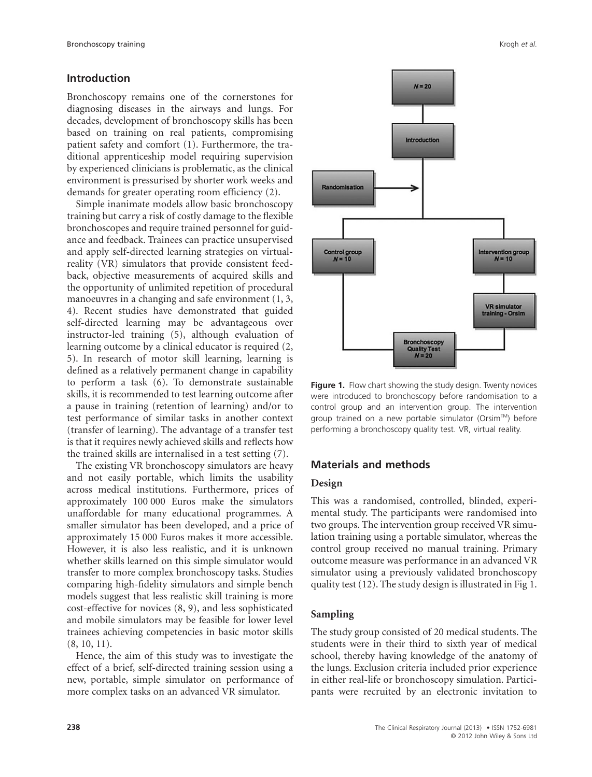### **Introduction**

Bronchoscopy remains one of the cornerstones for diagnosing diseases in the airways and lungs. For decades, development of bronchoscopy skills has been based on training on real patients, compromising patient safety and comfort (1). Furthermore, the traditional apprenticeship model requiring supervision by experienced clinicians is problematic, as the clinical environment is pressurised by shorter work weeks and demands for greater operating room efficiency (2).

Simple inanimate models allow basic bronchoscopy training but carry a risk of costly damage to the flexible bronchoscopes and require trained personnel for guidance and feedback. Trainees can practice unsupervised and apply self-directed learning strategies on virtualreality (VR) simulators that provide consistent feedback, objective measurements of acquired skills and the opportunity of unlimited repetition of procedural manoeuvres in a changing and safe environment  $(1, 3, 1)$ 4). Recent studies have demonstrated that guided self-directed learning may be advantageous over instructor-led training (5), although evaluation of learning outcome by a clinical educator is required (2, 5). In research of motor skill learning, learning is defined as a relatively permanent change in capability to perform a task (6). To demonstrate sustainable skills, it is recommended to test learning outcome after a pause in training (retention of learning) and/or to test performance of similar tasks in another context (transfer of learning). The advantage of a transfer test is that it requires newly achieved skills and reflects how the trained skills are internalised in a test setting (7).

The existing VR bronchoscopy simulators are heavy and not easily portable, which limits the usability across medical institutions. Furthermore, prices of approximately 100 000 Euros make the simulators unaffordable for many educational programmes. A smaller simulator has been developed, and a price of approximately 15 000 Euros makes it more accessible. However, it is also less realistic, and it is unknown whether skills learned on this simple simulator would transfer to more complex bronchoscopy tasks. Studies comparing high-fidelity simulators and simple bench models suggest that less realistic skill training is more cost-effective for novices (8, 9), and less sophisticated and mobile simulators may be feasible for lower level trainees achieving competencies in basic motor skills  $(8, 10, 11)$ .

Hence, the aim of this study was to investigate the effect of a brief, self-directed training session using a new, portable, simple simulator on performance of more complex tasks on an advanced VR simulator.



**Figure 1.** Flow chart showing the study design. Twenty novices were introduced to bronchoscopy before randomisation to a control group and an intervention group. The intervention group trained on a new portable simulator (Orsim™) before performing a bronchoscopy quality test. VR, virtual reality.

### **Materials and methods**

#### **Design**

This was a randomised, controlled, blinded, experimental study. The participants were randomised into two groups. The intervention group received VR simulation training using a portable simulator, whereas the control group received no manual training. Primary outcome measure was performance in an advanced VR simulator using a previously validated bronchoscopy quality test (12). The study design is illustrated in Fig 1.

#### **Sampling**

The study group consisted of 20 medical students. The students were in their third to sixth year of medical school, thereby having knowledge of the anatomy of the lungs. Exclusion criteria included prior experience in either real-life or bronchoscopy simulation. Participants were recruited by an electronic invitation to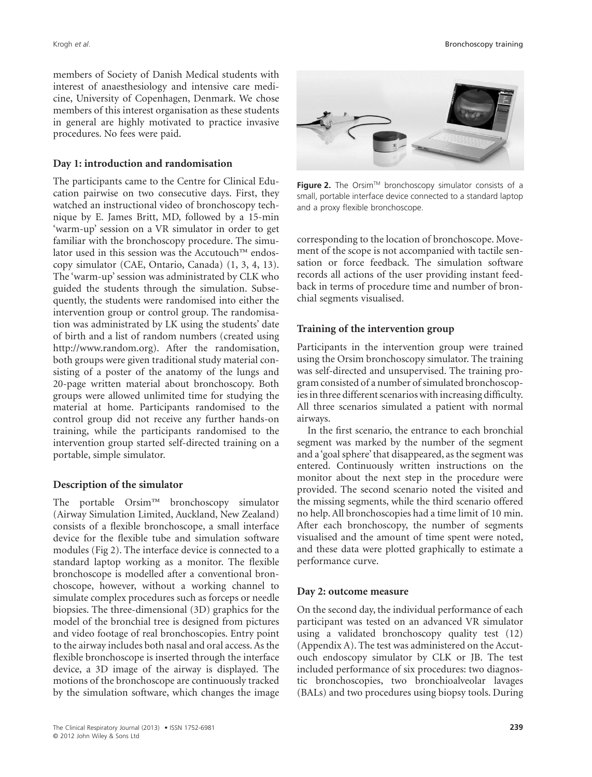members of Society of Danish Medical students with interest of anaesthesiology and intensive care medicine, University of Copenhagen, Denmark. We chose members of this interest organisation as these students in general are highly motivated to practice invasive procedures. No fees were paid.

### **Day 1: introduction and randomisation**

The participants came to the Centre for Clinical Education pairwise on two consecutive days. First, they watched an instructional video of bronchoscopy technique by E. James Britt, MD, followed by a 15-min 'warm-up' session on a VR simulator in order to get familiar with the bronchoscopy procedure. The simulator used in this session was the Accutouch™ endoscopy simulator (CAE, Ontario, Canada) (1, 3, 4, 13). The 'warm-up' session was administrated by CLK who guided the students through the simulation. Subsequently, the students were randomised into either the intervention group or control group. The randomisation was administrated by LK using the students' date of birth and a list of random numbers (created using http://www.random.org). After the randomisation, both groups were given traditional study material consisting of a poster of the anatomy of the lungs and 20-page written material about bronchoscopy. Both groups were allowed unlimited time for studying the material at home. Participants randomised to the control group did not receive any further hands-on training, while the participants randomised to the intervention group started self-directed training on a portable, simple simulator.

### **Description of the simulator**

The portable Orsim™ bronchoscopy simulator (Airway Simulation Limited, Auckland, New Zealand) consists of a flexible bronchoscope, a small interface device for the flexible tube and simulation software modules (Fig 2). The interface device is connected to a standard laptop working as a monitor. The flexible bronchoscope is modelled after a conventional bronchoscope, however, without a working channel to simulate complex procedures such as forceps or needle biopsies. The three-dimensional (3D) graphics for the model of the bronchial tree is designed from pictures and video footage of real bronchoscopies. Entry point to the airway includes both nasal and oral access. As the flexible bronchoscope is inserted through the interface device, a 3D image of the airway is displayed. The motions of the bronchoscope are continuously tracked by the simulation software, which changes the image



Figure 2. The Orsim<sup>™</sup> bronchoscopy simulator consists of a small, portable interface device connected to a standard laptop and a proxy flexible bronchoscope.

corresponding to the location of bronchoscope. Movement of the scope is not accompanied with tactile sensation or force feedback. The simulation software records all actions of the user providing instant feedback in terms of procedure time and number of bronchial segments visualised.

### **Training of the intervention group**

Participants in the intervention group were trained using the Orsim bronchoscopy simulator. The training was self-directed and unsupervised. The training program consisted of a number of simulated bronchoscopies in three different scenarios with increasing difficulty. All three scenarios simulated a patient with normal airways.

In the first scenario, the entrance to each bronchial segment was marked by the number of the segment and a 'goal sphere' that disappeared, as the segment was entered. Continuously written instructions on the monitor about the next step in the procedure were provided. The second scenario noted the visited and the missing segments, while the third scenario offered no help. All bronchoscopies had a time limit of 10 min. After each bronchoscopy, the number of segments visualised and the amount of time spent were noted, and these data were plotted graphically to estimate a performance curve.

#### **Day 2: outcome measure**

On the second day, the individual performance of each participant was tested on an advanced VR simulator using a validated bronchoscopy quality test (12) (Appendix A). The test was administered on the Accutouch endoscopy simulator by CLK or JB. The test included performance of six procedures: two diagnostic bronchoscopies, two bronchioalveolar lavages (BALs) and two procedures using biopsy tools. During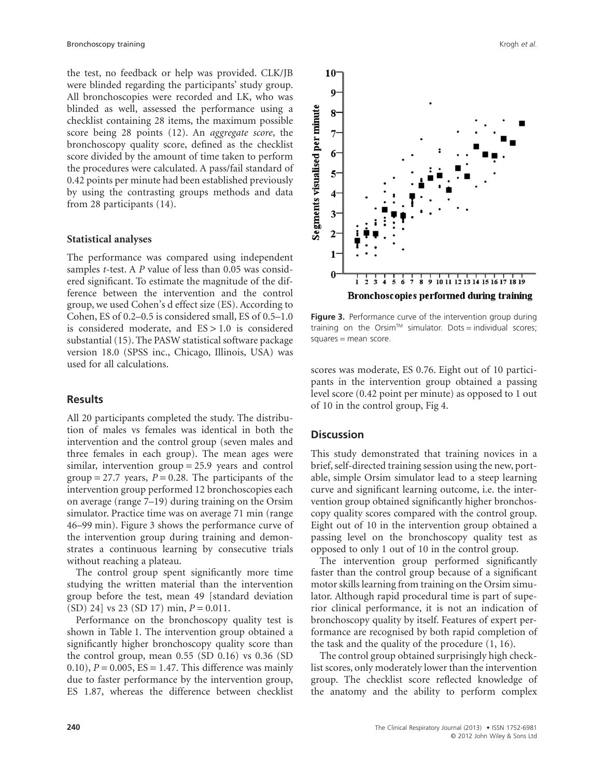the test, no feedback or help was provided. CLK/JB were blinded regarding the participants' study group. All bronchoscopies were recorded and LK, who was blinded as well, assessed the performance using a checklist containing 28 items, the maximum possible score being 28 points (12). An *aggregate score*, the bronchoscopy quality score, defined as the checklist score divided by the amount of time taken to perform the procedures were calculated. A pass/fail standard of 0.42 points per minute had been established previously by using the contrasting groups methods and data from 28 participants (14).

#### **Statistical analyses**

The performance was compared using independent samples *t*-test. A *P* value of less than 0.05 was considered significant. To estimate the magnitude of the difference between the intervention and the control group, we used Cohen's d effect size (ES). According to Cohen, ES of 0.2–0.5 is considered small, ES of 0.5–1.0 is considered moderate, and ES > 1.0 is considered substantial (15). The PASW statistical software package version 18.0 (SPSS inc., Chicago, Illinois, USA) was used for all calculations.

### **Results**

All 20 participants completed the study. The distribution of males vs females was identical in both the intervention and the control group (seven males and three females in each group). The mean ages were similar, intervention group = 25.9 years and control group = 27.7 years,  $P = 0.28$ . The participants of the intervention group performed 12 bronchoscopies each on average (range 7–19) during training on the Orsim simulator. Practice time was on average 71 min (range 46–99 min). Figure 3 shows the performance curve of the intervention group during training and demonstrates a continuous learning by consecutive trials without reaching a plateau.

The control group spent significantly more time studying the written material than the intervention group before the test, mean 49 [standard deviation (SD) 24] vs 23 (SD 17) min, *P* = 0.011.

Performance on the bronchoscopy quality test is shown in Table 1. The intervention group obtained a significantly higher bronchoscopy quality score than the control group, mean 0.55 (SD 0.16) vs 0.36 (SD 0.10),  $P = 0.005$ ,  $ES = 1.47$ . This difference was mainly due to faster performance by the intervention group, ES 1.87, whereas the difference between checklist



**Figure 3.** Performance curve of the intervention group during training on the Orsim<sup>TM</sup> simulator. Dots = individual scores; squares = mean score.

scores was moderate, ES 0.76. Eight out of 10 participants in the intervention group obtained a passing level score (0.42 point per minute) as opposed to 1 out of 10 in the control group, Fig 4.

#### **Discussion**

This study demonstrated that training novices in a brief, self-directed training session using the new, portable, simple Orsim simulator lead to a steep learning curve and significant learning outcome, i.e. the intervention group obtained significantly higher bronchoscopy quality scores compared with the control group. Eight out of 10 in the intervention group obtained a passing level on the bronchoscopy quality test as opposed to only 1 out of 10 in the control group.

The intervention group performed significantly faster than the control group because of a significant motor skills learning from training on the Orsim simulator. Although rapid procedural time is part of superior clinical performance, it is not an indication of bronchoscopy quality by itself. Features of expert performance are recognised by both rapid completion of the task and the quality of the procedure (1, 16).

The control group obtained surprisingly high checklist scores, only moderately lower than the intervention group. The checklist score reflected knowledge of the anatomy and the ability to perform complex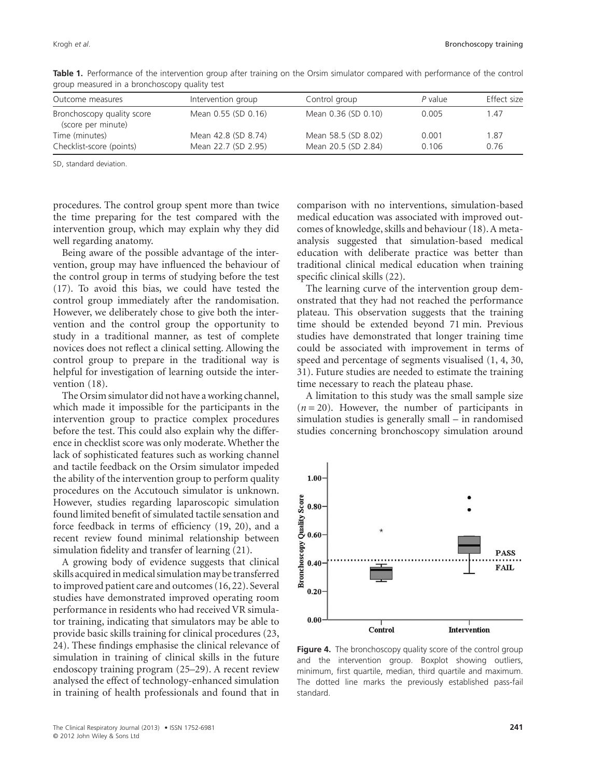| Outcome measures                                 | Intervention group  | Control group       | P value | Effect size |  |
|--------------------------------------------------|---------------------|---------------------|---------|-------------|--|
| Bronchoscopy quality score<br>(score per minute) | Mean 0.55 (SD 0.16) | Mean 0.36 (SD 0.10) | 0.005   | 1.47        |  |
| Time (minutes)                                   | Mean 42.8 (SD 8.74) | Mean 58.5 (SD 8.02) | 0.001   | 1.87        |  |
| Checklist-score (points)                         | Mean 22.7 (SD 2.95) | Mean 20.5 (SD 2.84) | 0.106   | 0.76        |  |

**Table 1.** Performance of the intervention group after training on the Orsim simulator compared with performance of the control group measured in a bronchoscopy quality test

SD, standard deviation.

procedures. The control group spent more than twice the time preparing for the test compared with the intervention group, which may explain why they did well regarding anatomy.

Being aware of the possible advantage of the intervention, group may have influenced the behaviour of the control group in terms of studying before the test (17). To avoid this bias, we could have tested the control group immediately after the randomisation. However, we deliberately chose to give both the intervention and the control group the opportunity to study in a traditional manner, as test of complete novices does not reflect a clinical setting. Allowing the control group to prepare in the traditional way is helpful for investigation of learning outside the intervention (18).

The Orsim simulator did not have a working channel, which made it impossible for the participants in the intervention group to practice complex procedures before the test. This could also explain why the difference in checklist score was only moderate.Whether the lack of sophisticated features such as working channel and tactile feedback on the Orsim simulator impeded the ability of the intervention group to perform quality procedures on the Accutouch simulator is unknown. However, studies regarding laparoscopic simulation found limited benefit of simulated tactile sensation and force feedback in terms of efficiency (19, 20), and a recent review found minimal relationship between simulation fidelity and transfer of learning (21).

A growing body of evidence suggests that clinical skills acquired in medical simulation may be transferred to improved patient care and outcomes (16, 22). Several studies have demonstrated improved operating room performance in residents who had received VR simulator training, indicating that simulators may be able to provide basic skills training for clinical procedures (23, 24). These findings emphasise the clinical relevance of simulation in training of clinical skills in the future endoscopy training program (25–29). A recent review analysed the effect of technology-enhanced simulation in training of health professionals and found that in comparison with no interventions, simulation-based medical education was associated with improved outcomes of knowledge, skills and behaviour (18).A metaanalysis suggested that simulation-based medical education with deliberate practice was better than traditional clinical medical education when training specific clinical skills (22).

The learning curve of the intervention group demonstrated that they had not reached the performance plateau. This observation suggests that the training time should be extended beyond 71 min. Previous studies have demonstrated that longer training time could be associated with improvement in terms of speed and percentage of segments visualised (1, 4, 30, 31). Future studies are needed to estimate the training time necessary to reach the plateau phase.

A limitation to this study was the small sample size  $(n=20)$ . However, the number of participants in simulation studies is generally small – in randomised studies concerning bronchoscopy simulation around



**Figure 4.** The bronchoscopy quality score of the control group and the intervention group. Boxplot showing outliers, minimum, first quartile, median, third quartile and maximum. The dotted line marks the previously established pass-fail standard.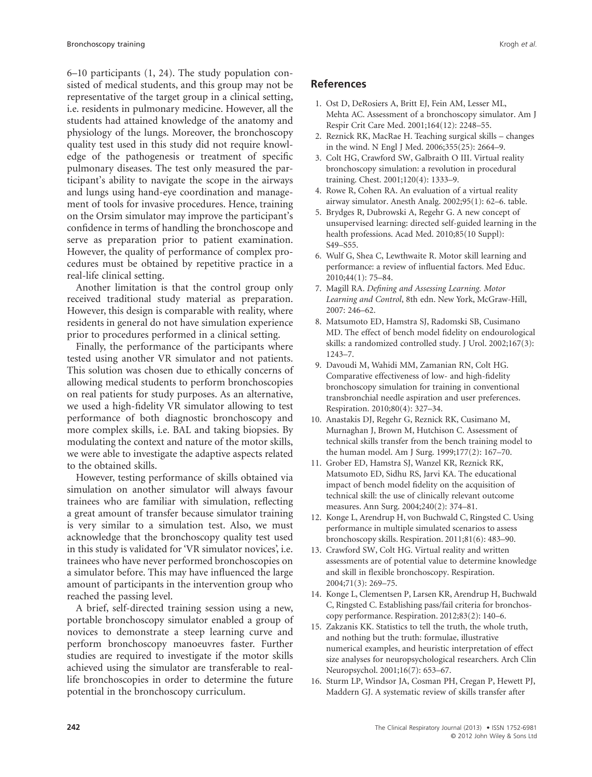6–10 participants (1, 24). The study population consisted of medical students, and this group may not be representative of the target group in a clinical setting, i.e. residents in pulmonary medicine. However, all the students had attained knowledge of the anatomy and physiology of the lungs. Moreover, the bronchoscopy quality test used in this study did not require knowledge of the pathogenesis or treatment of specific pulmonary diseases. The test only measured the participant's ability to navigate the scope in the airways and lungs using hand-eye coordination and management of tools for invasive procedures. Hence, training on the Orsim simulator may improve the participant's confidence in terms of handling the bronchoscope and serve as preparation prior to patient examination. However, the quality of performance of complex procedures must be obtained by repetitive practice in a real-life clinical setting.

Another limitation is that the control group only received traditional study material as preparation. However, this design is comparable with reality, where residents in general do not have simulation experience prior to procedures performed in a clinical setting.

Finally, the performance of the participants where tested using another VR simulator and not patients. This solution was chosen due to ethically concerns of allowing medical students to perform bronchoscopies on real patients for study purposes. As an alternative, we used a high-fidelity VR simulator allowing to test performance of both diagnostic bronchoscopy and more complex skills, i.e. BAL and taking biopsies. By modulating the context and nature of the motor skills, we were able to investigate the adaptive aspects related to the obtained skills.

However, testing performance of skills obtained via simulation on another simulator will always favour trainees who are familiar with simulation, reflecting a great amount of transfer because simulator training is very similar to a simulation test. Also, we must acknowledge that the bronchoscopy quality test used in this study is validated for 'VR simulator novices', i.e. trainees who have never performed bronchoscopies on a simulator before. This may have influenced the large amount of participants in the intervention group who reached the passing level.

A brief, self-directed training session using a new, portable bronchoscopy simulator enabled a group of novices to demonstrate a steep learning curve and perform bronchoscopy manoeuvres faster. Further studies are required to investigate if the motor skills achieved using the simulator are transferable to reallife bronchoscopies in order to determine the future potential in the bronchoscopy curriculum.

### **References**

- 1. Ost D, DeRosiers A, Britt EJ, Fein AM, Lesser ML, Mehta AC. Assessment of a bronchoscopy simulator. Am J Respir Crit Care Med. 2001;164(12): 2248–55.
- 2. Reznick RK, MacRae H. Teaching surgical skills changes in the wind. N Engl J Med. 2006;355(25): 2664–9.
- 3. Colt HG, Crawford SW, Galbraith O III. Virtual reality bronchoscopy simulation: a revolution in procedural training. Chest. 2001;120(4): 1333–9.
- 4. Rowe R, Cohen RA. An evaluation of a virtual reality airway simulator. Anesth Analg. 2002;95(1): 62–6. table.
- 5. Brydges R, Dubrowski A, Regehr G. A new concept of unsupervised learning: directed self-guided learning in the health professions. Acad Med. 2010;85(10 Suppl): S49–S55.
- 6. Wulf G, Shea C, Lewthwaite R. Motor skill learning and performance: a review of influential factors. Med Educ. 2010;44(1): 75–84.
- 7. Magill RA. *Defining and Assessing Learning. Motor Learning and Control*, 8th edn. New York, McGraw-Hill, 2007: 246–62.
- 8. Matsumoto ED, Hamstra SJ, Radomski SB, Cusimano MD. The effect of bench model fidelity on endourological skills: a randomized controlled study. J Urol. 2002;167(3): 1243–7.
- 9. Davoudi M, Wahidi MM, Zamanian RN, Colt HG. Comparative effectiveness of low- and high-fidelity bronchoscopy simulation for training in conventional transbronchial needle aspiration and user preferences. Respiration. 2010;80(4): 327–34.
- 10. Anastakis DJ, Regehr G, Reznick RK, Cusimano M, Murnaghan J, Brown M, Hutchison C. Assessment of technical skills transfer from the bench training model to the human model. Am J Surg. 1999;177(2): 167–70.
- 11. Grober ED, Hamstra SJ, Wanzel KR, Reznick RK, Matsumoto ED, Sidhu RS, Jarvi KA. The educational impact of bench model fidelity on the acquisition of technical skill: the use of clinically relevant outcome measures. Ann Surg. 2004;240(2): 374–81.
- 12. Konge L, Arendrup H, von Buchwald C, Ringsted C. Using performance in multiple simulated scenarios to assess bronchoscopy skills. Respiration. 2011;81(6): 483–90.
- 13. Crawford SW, Colt HG. Virtual reality and written assessments are of potential value to determine knowledge and skill in flexible bronchoscopy. Respiration. 2004;71(3): 269–75.
- 14. Konge L, Clementsen P, Larsen KR, Arendrup H, Buchwald C, Ringsted C. Establishing pass/fail criteria for bronchoscopy performance. Respiration. 2012;83(2): 140–6.
- 15. Zakzanis KK. Statistics to tell the truth, the whole truth, and nothing but the truth: formulae, illustrative numerical examples, and heuristic interpretation of effect size analyses for neuropsychological researchers. Arch Clin Neuropsychol. 2001;16(7): 653–67.
- 16. Sturm LP, Windsor JA, Cosman PH, Cregan P, Hewett PJ, Maddern GJ. A systematic review of skills transfer after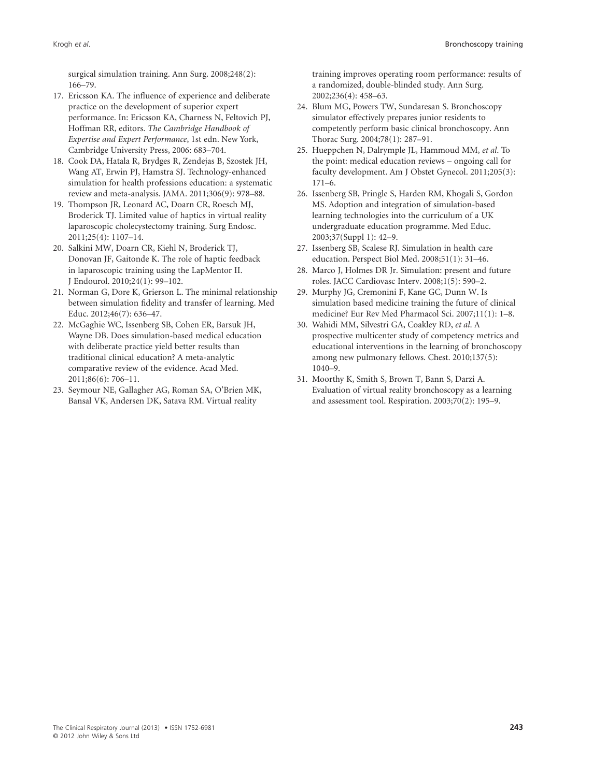surgical simulation training. Ann Surg. 2008;248(2): 166–79.

- 17. Ericsson KA. The influence of experience and deliberate practice on the development of superior expert performance. In: Ericsson KA, Charness N, Feltovich PJ, Hoffman RR, editors. *The Cambridge Handbook of Expertise and Expert Performance*, 1st edn. New York, Cambridge University Press, 2006: 683–704.
- 18. Cook DA, Hatala R, Brydges R, Zendejas B, Szostek JH, Wang AT, Erwin PJ, Hamstra SJ. Technology-enhanced simulation for health professions education: a systematic review and meta-analysis. JAMA. 2011;306(9): 978–88.
- 19. Thompson JR, Leonard AC, Doarn CR, Roesch MJ, Broderick TJ. Limited value of haptics in virtual reality laparoscopic cholecystectomy training. Surg Endosc. 2011;25(4): 1107–14.
- 20. Salkini MW, Doarn CR, Kiehl N, Broderick TJ, Donovan JF, Gaitonde K. The role of haptic feedback in laparoscopic training using the LapMentor II. J Endourol. 2010;24(1): 99–102.
- 21. Norman G, Dore K, Grierson L. The minimal relationship between simulation fidelity and transfer of learning. Med Educ. 2012;46(7): 636–47.
- 22. McGaghie WC, Issenberg SB, Cohen ER, Barsuk JH, Wayne DB. Does simulation-based medical education with deliberate practice yield better results than traditional clinical education? A meta-analytic comparative review of the evidence. Acad Med. 2011;86(6): 706–11.
- 23. Seymour NE, Gallagher AG, Roman SA, O'Brien MK, Bansal VK, Andersen DK, Satava RM. Virtual reality

training improves operating room performance: results of a randomized, double-blinded study. Ann Surg. 2002;236(4): 458–63.

- 24. Blum MG, Powers TW, Sundaresan S. Bronchoscopy simulator effectively prepares junior residents to competently perform basic clinical bronchoscopy. Ann Thorac Surg. 2004;78(1): 287–91.
- 25. Hueppchen N, Dalrymple JL, Hammoud MM, *et al*. To the point: medical education reviews – ongoing call for faculty development. Am J Obstet Gynecol. 2011;205(3): 171–6.
- 26. Issenberg SB, Pringle S, Harden RM, Khogali S, Gordon MS. Adoption and integration of simulation-based learning technologies into the curriculum of a UK undergraduate education programme. Med Educ. 2003;37(Suppl 1): 42–9.
- 27. Issenberg SB, Scalese RJ. Simulation in health care education. Perspect Biol Med. 2008;51(1): 31–46.
- 28. Marco J, Holmes DR Jr. Simulation: present and future roles. JACC Cardiovasc Interv. 2008;1(5): 590–2.
- 29. Murphy JG, Cremonini F, Kane GC, Dunn W. Is simulation based medicine training the future of clinical medicine? Eur Rev Med Pharmacol Sci. 2007;11(1): 1–8.
- 30. Wahidi MM, Silvestri GA, Coakley RD, *et al*. A prospective multicenter study of competency metrics and educational interventions in the learning of bronchoscopy among new pulmonary fellows. Chest. 2010;137(5): 1040–9.
- 31. Moorthy K, Smith S, Brown T, Bann S, Darzi A. Evaluation of virtual reality bronchoscopy as a learning and assessment tool. Respiration. 2003;70(2): 195–9.